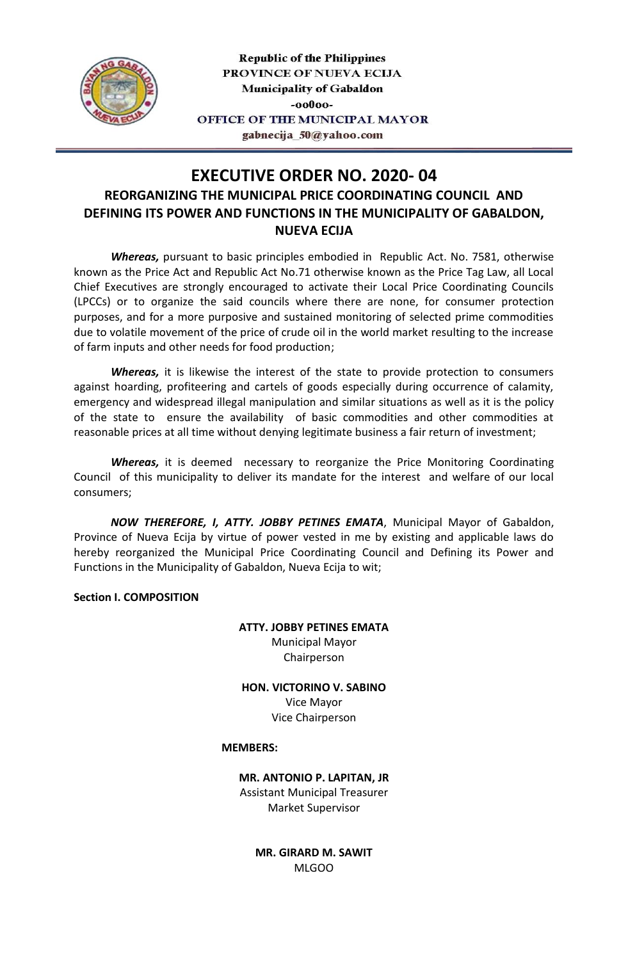

**Republic of the Philippines** PROVINCE OF NUEVA ECIJA Municipality of Gabaldon -00000-OFFICE OF THE MUNICIPAL MAYOR gabnecija\_50@yahoo.com

# **EXECUTIVE ORDER NO. 2020- 04 REORGANIZING THE MUNICIPAL PRICE COORDINATING COUNCIL AND DEFINING ITS POWER AND FUNCTIONS IN THE MUNICIPALITY OF GABALDON, NUEVA ECIJA**

*Whereas,* pursuant to basic principles embodied in Republic Act. No. 7581, otherwise known as the Price Act and Republic Act No.71 otherwise known as the Price Tag Law, all Local Chief Executives are strongly encouraged to activate their Local Price Coordinating Councils (LPCCs) or to organize the said councils where there are none, for consumer protection purposes, and for a more purposive and sustained monitoring of selected prime commodities due to volatile movement of the price of crude oil in the world market resulting to the increase of farm inputs and other needs for food production;

*Whereas,* it is likewise the interest of the state to provide protection to consumers against hoarding, profiteering and cartels of goods especially during occurrence of calamity, emergency and widespread illegal manipulation and similar situations as well as it is the policy of the state to ensure the availability of basic commodities and other commodities at reasonable prices at all time without denying legitimate business a fair return of investment;

*Whereas,* it is deemed necessary to reorganize the Price Monitoring Coordinating Council of this municipality to deliver its mandate for the interest and welfare of our local consumers;

*NOW THEREFORE, I, ATTY. JOBBY PETINES EMATA*, Municipal Mayor of Gabaldon, Province of Nueva Ecija by virtue of power vested in me by existing and applicable laws do hereby reorganized the Municipal Price Coordinating Council and Defining its Power and Functions in the Municipality of Gabaldon, Nueva Ecija to wit;

**Section I. COMPOSITION**

**ATTY. JOBBY PETINES EMATA** Municipal Mayor Chairperson

**HON. VICTORINO V. SABINO** Vice Mayor Vice Chairperson

#### **MEMBERS:**

**MR. ANTONIO P. LAPITAN, JR** Assistant Municipal Treasurer Market Supervisor

> **MR. GIRARD M. SAWIT** MLGOO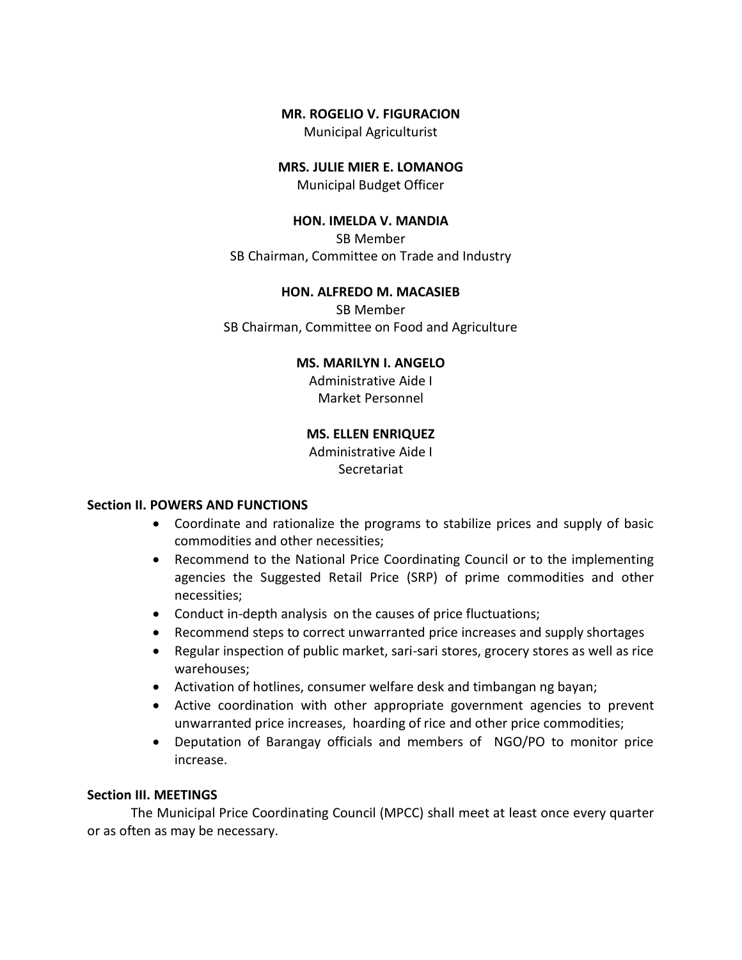#### **MR. ROGELIO V. FIGURACION**

Municipal Agriculturist

## **MRS. JULIE MIER E. LOMANOG**

Municipal Budget Officer

#### **HON. IMELDA V. MANDIA**

SB Member SB Chairman, Committee on Trade and Industry

#### **HON. ALFREDO M. MACASIEB**

SB Member SB Chairman, Committee on Food and Agriculture

#### **MS. MARILYN I. ANGELO**

Administrative Aide I Market Personnel

## **MS. ELLEN ENRIQUEZ**

Administrative Aide I Secretariat

#### **Section II. POWERS AND FUNCTIONS**

- Coordinate and rationalize the programs to stabilize prices and supply of basic commodities and other necessities;
- Recommend to the National Price Coordinating Council or to the implementing agencies the Suggested Retail Price (SRP) of prime commodities and other necessities;
- Conduct in-depth analysis on the causes of price fluctuations;
- Recommend steps to correct unwarranted price increases and supply shortages
- Regular inspection of public market, sari-sari stores, grocery stores as well as rice warehouses;
- Activation of hotlines, consumer welfare desk and timbangan ng bayan;
- Active coordination with other appropriate government agencies to prevent unwarranted price increases, hoarding of rice and other price commodities;
- Deputation of Barangay officials and members of NGO/PO to monitor price increase.

### **Section III. MEETINGS**

The Municipal Price Coordinating Council (MPCC) shall meet at least once every quarter or as often as may be necessary.